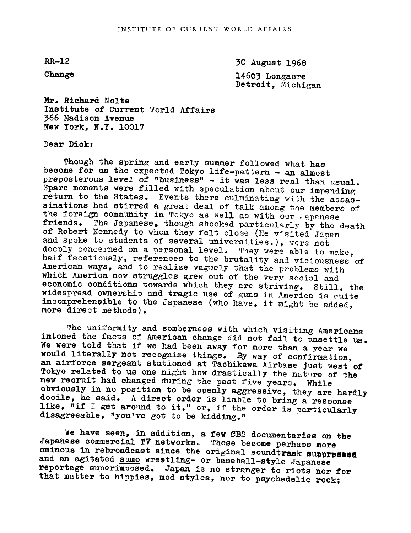$RR-12$ 

Change

30 August 1968

14603 Longacre Detroit, Michigan

Mr. Richard Nolte Institute of Current World Affairs 366 Madison Avenue New York, N.Y. lOO17

Dear Dick:

Though the spring and early summer followed what has become for us the expected Tokyo life-pattern - an almost preposterous level of "business" - it was less real than usual. Spare moments were filled with speculation about our impending<br>return to the States. Events there culminating with the assas-<br>sinations had stirred a great deal of talk among the members of<br>the foreign community in Tokyo a of Robert Kennedy to whom they felt close (He visited Japan<br>and spoke to students of several universities.), were not deeply concerned on a personal level. They were able to make,<br>half facetiously, references to the brutality and viciousness of<br>American ways, and to realize vaguely that the problems with<br>which America now struggles grew o widespread ownership and tragic use of guns in America is quite incomprehensible to the Japanese (who have, it might be added, more direct methods).

The uniformity and somberness with which visiting Americans We were told that if we had been away for more than a year we The uniformity and somberness with which visiting Americans<br>intoned the facts of American change did not fail to unsettle us.<br>We were told that if we had been away for more than a wage we would literally not recognize things. By way of confirmation, an airforce sergeant stationed at Tachikawa Airbase just west of Tokyo related to us one night how drastically the nature of the new recruit had changed during obviously in no position to be openly aggressive, they are hardly docile, he said. A direct order is liable to bring a response like, "if I get around to it," or, if the order is particularly disagreeable, "you've got to b

We have seen, in addition, a few CBS documentaries on the Japanese commercial TV networks. These become perhaps more ominous in rebroadcast since the original sound track suppressed and an agitated sumo wrestling- or baseb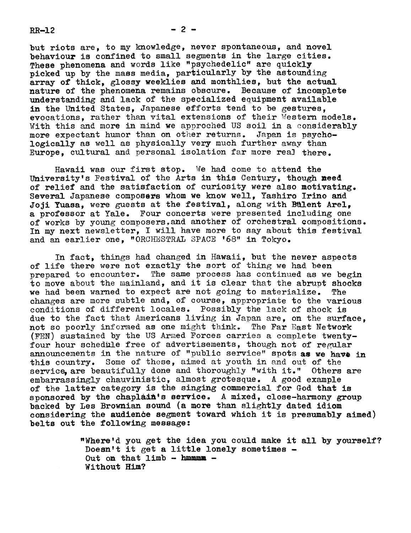$RR-12$  - 2 -

but riots are, to my knowledge, never spontaneous, and novel behaviour is confined to small segments in the large cities. These phenomena and words like "psychedelic" are quickly picked up by the mass media, particularly by the astounding array of thick, glossy weeklies and monthlies, but the actual nature of the phenomena remains obscure. Because of incomplete understanding and lack of the specialized equipment available in the United States, Japanese efforts tend to be gestures, evocations, rather than vital extensions of their Western models. With this and more in mind we approched US soil in a considerably more expectant humor than on other returns. Japan is psychologically as well as physically very much further away than Europe, cultural and personal isolation far more real there.

Hawaii was our first stop. We had come to attend the University's Festival of the Arts in this Century, though need of relief and the satisfaction of curiosity were also motivating. Several Japanese composers whom we know well, Yashiro Irino and Joji Yuasa, were guests at the festival, along with Bülent Arel, a professor at Yale. Four concerts were presented including one of works by young composers and another of orchestral compositions. In my next newsletter, I will have more to say about this festival and an earlier one, "ORCHESTRAL SPACE '68" in Tokyo.

In fact, things had changed in Hawaii, but the newer aspects of life there were not exactly the sort of thing we had been prepared to encounter. The same process has continued as we begin to move about the mainland, and it is clear that the abrupt shocks we had been warned to expect are not going to materialize. The changes are more subtle and, of course, appropriate to the various conditions of different locales. Possibly the lack of shock is due to the fact that Americans living in Japan are, on the surface. not so poorly informed as one might think. The Far East Network (FEN) sustained by the US Armed Forces carries a complete twentyfour hour schedule free of advertisements, though not of regular announcements in the nature of "public service" spots as we have in this country. Some of these, aimed at youth in and out of the service are beautifully done and thoroughly "with it." Others are embarrassingly chauvinistic, almost grotesque. A good example of the latter category is the singing commercial for God that is sponsored by the chaplain's service. A mixed, close-harmony group backed by Les Brownian sound (a more than slightly dated idiom comsiderimg the audience segment toward which it is presumably aimed) belts out the following message:

> "Where'd you get the idea you could make it all by yourself? Doesn't it get a little lonely sometimes -Out on that  $limb - <sup>h</sup>$ Without Him?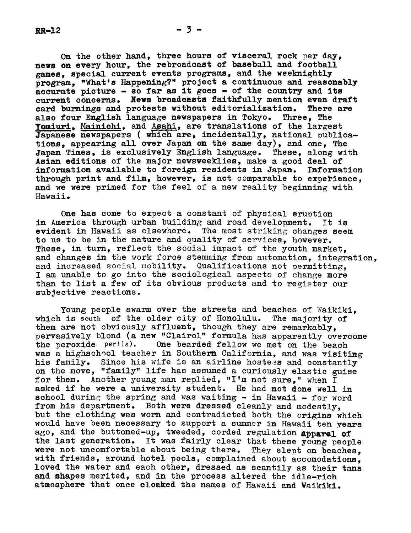On the other hand, three hours of visceral rock per day, news on every hour, the rebroadcast of baseball and football games, special current events programs, and the weeknlghtly program, "What's Happening?" project a continuous and reasonably accurate picture  $-$  so far as it goes  $-$  of the country and its current concerns. News broadcasts faithfully mention even draft card burnings and protests without editorialization. There are also four English language newspapers in Tokyo. Three, The Yomiuri, Mainichi, and Asahi, are translations of the largest Japanese newspapers ( which are, incidentally, national publications, appearing all over Japan on the same day), and one, The Japan Times, is exclusively English language. These, along with Japan Times, is exclusively English language. Asian editions of the major newsweeklies, make a good deal of information available to foreign residents in Japan. Information through print and film, however, is not comparable to experience, and we were primed for the feel of a new reality beginning with Hawaii.

One has come to expect a constant of physical eruption in America through urban building and road development. It is evident in Hawaii as elsewhere. The most striking changes seem to us to be in the nature and quality of services, however These, in turn, reflect the social impact of the youth market. and changes in the work force stemming from automation, integration, and increased social mobility. Qualifications not permitting. I am unable to go into the sociological aspects of change more than to list a few of its obvious products and to register our subjective reactions.

Young people swarm over the streets and beaches of Waikiki, which is south of the older city of Honolulu. The majority of them are not obviously affluent, though they are remarkably, pervasively blond (a new "Clairol" formula has apparently overcome the peroxide perils). One bearded fellow we met on the beach One bearded fellow we met on the beach was a highschool teacher in Southern California, and was visiting his family. Since his wife is an airline hostess and constantly on the move, "family" life has assumed a curiously elastic guise for them. Another young man replied, "I'm not sure," when I asked if he were a university student. He had not done well in school during the spring and was waiting  $-$  in Hawaii  $-$  for word from his department. Both were dressed cleanly and modestly, but the clothing was worn and contradicted both the origins which would have been necessary to support a summer in Hawaii ten years ago, and the buttoned-up, tweeded, corded regulation apparel of the last generation. It was fairly clear that these young people were not uncomfortable about being there. They slept on beaches. with friends, around hotel pools, complained about accomodations, loved the water and each other, dressed as scantily as their tans and shapes merited, and in the process altered the idle-rich atmosphere that once cloaked the names of Hawaii and Waikiki.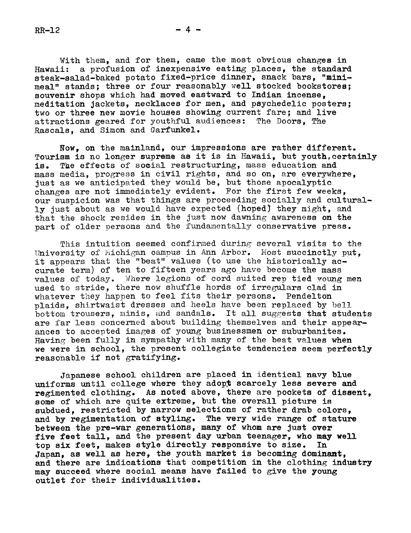With them, and for them, came the most obvious changes in Hawaii: a profusion of inexpensive eating places, the standard steak-salad-baked potato fixed-price dinner, snack bars, "mimimeal" stands; three or four reasonably well stocked bookstores; souvenir shops which had moved eastward to Indian incense, meditation jackets, necklaces for men, and psychedelic posters; two or three new movie houses showing current fare; and live attractions geared for youthful audiences: The Doors, The Rascals, and Simon and Garfunkel.

Now, on the mainland, our impressions are rather different. Tourism is no longer supreme as it is in Hawaii, but youth, certainly is. The effects of social restructuring, mass education and mass media, progress in civil rights, and so on, are everywhere, just as we anticipated they would be, but those apocalyptic changes are not immediately evident. For the first few weeks, our suspicion was that things are proceeding socially and culturally just about as we would have expected (hoped) they might. and that the shock resides in the just now dawning awareness on the part of older persons and the fundamentally conservative press.

This intuition seemed confirmed during several visits to the University of Michigan campus in Ann Arbor. Most succinctly put. it appears that the "beat" values (to use the historically accurate term) of ten to fifteen years ago have become the mass values of today. Where legions of cord suited rep tied young men used to stride, there now shuffle hords of irregulars clad in whatever they happen to feel fits their persons. Pendelton plaids, shirtwaist dresses and heels have been replaced by bell bottom trousers, minis, and sandals. It all suggests that students are far less concerned about building themselves and their appearances to accepted images of young businessmen or suburbanites. Having been fully in sympathy with many of the beat values when we were in school, the present collegiate tendencies seem perfectly reasonable if not gratifying.

Japanese school children are placed in identical navy blue uniforms until college where they adopt scarcely less severe and regimented clothing. As noted above, there are pockets of dissent, some of which are quite extreme, but the overall picture is subdued, restricted by narrow selections of rather drab colors, and by regimentation of styling. The very wide range of stature between the pre-war generations, many of whom are just over five feet tall, and the present day urban teenager, who may well top six feet, makes style directly responsive to size. In Japan. as well as here, the youth market is becoming dominant. and there are indications that competition in the clothing industry may succeed where social means have failed to give the young outlet for their individualities.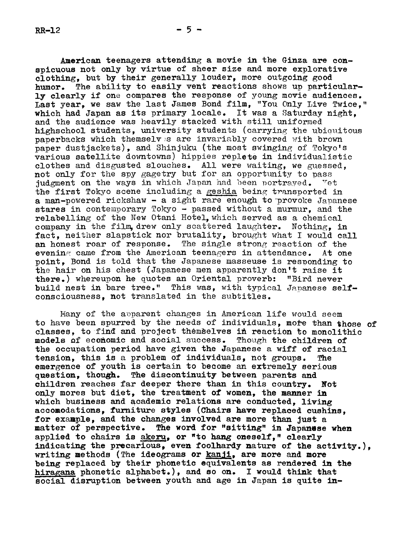American teenagers attending a movie in the Ginza are conspicuous not only by virtue of sheer size and more explorative clothing, but by their generally louder, more outgoing good humor. The ability to easily vent reactions shows up particularly clearly if one compares the response of young movie audiences. Last year, we saw the last James Bond film, "You Only Live Twice," which had Japan as its primary locale. It was a Saturday night, and the audience was heavily stacked with still uniformed highschool students, university students (carrying the ubiquitous paperbacks which themselv s are invariably covered with brown paper dustjackets), and Shinjuku (the most swinging of Tokyo's various satellite downtowns) hippies replete in individualistic clothes and disgusted slouches. All were vaiting, we guessed, not only for the spy gagetry but for an opportunity to pass judgment on the ways in which Japan had been portrayed. Vet the first Tokyo scene including a geshia being transported in a man-powered rickshaw  $-$  a sight rare enough to provoke Japanese stares in contemporary Tokyo - passed without a murmur. and the relabelling of the New Otani Hotel, which served as a chemical company in the film drew only scattered laughter. Nothing, in fact, neither slapstick nor brutality, brought what I would call an honest roar of response. The single strong reaction of the evening came from the American teenagers in attendance. At one point, Bond is told that the Japanese masseuse is resoonding to the hair on his chest (Japanese men apparently don't raise it there.) whereupon he quotes an Oriental proverb: "Bird never build nest in bare tree." This was, with typical Japanese selfconsciousness, not translated in the subtitles.

Many of the apparent changes in American life would seem to have been spurred by the needs of individuals, more than those of classes, to find and project themselves in reaction to monolithic models of economic and social success. Though the children of the occupation period have given the Japanese a wiff of racial tension, this is a problem of individuals, not groups. The emergence of youth is certain to become an extremely serious question, though. The discontinuity between parents and children reaches far deeper there than in this country. Not only mores but diet, the treatment of womem, the manner im which business and academic relations are conducted. living accomodations, furniture styles (Chairs have replaced cushins, for example. and the changes involved are more than just a matter of perspective. The word for "sitting" in Japanese when applied to chairs is akeru, or "to hang omeself," clearly indicating the precarious, even foolhardy nature of the activity.). writing methods (The ideograms or kanji, are more and more being replaced by their phonetic equivalents as rendered in the hiragana phonetic alphabet.), and so on. I would think that social disruption between youth and age in Japan is quite in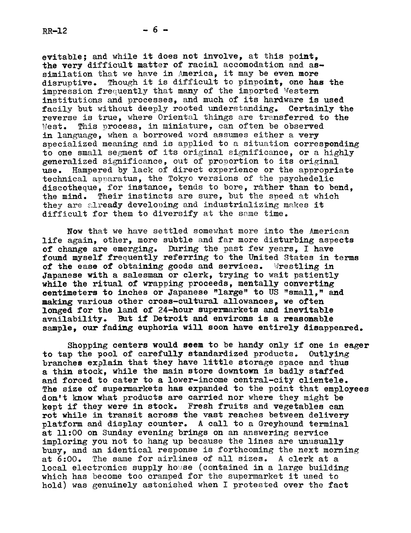evitable; and while it does not involve, at this point, the very difficult matter of racial accomodation and assimilation that we have in America, it may be even more disruptive. Though it is difficult to pinpoint, one has Though it is difficult to pinpoint, one has the impression frequently that many of the imported Western institutions and processes, and much of its hardware is used facily but without deeply rooted understanding. Certainly the reverse is true, where Oriental things are transferred to the West. This process, in miniature, can often be observed in language, when a borrowed word assumes either a very specialized meaning and is applied to a situation corresponding to one small segment of its original significance, or a highly generalized significance, out of proportion to its original use. Hampered by lack of direct experience or the appropriate technical apparatus, the Tokyo versions of the psychedelic discotheque, for instance, tends to bore, rather than to bend, the mind. Their instincts are sure, but the speed at which they are already developing and industrializing makes it difficult for them to diversify at the same time.

Now that we have settled somewhat more into the American life again, other, more subtle and far more disturbing aspects of change are emerging. During the past few years, I have found myself frequently referring to the United States in terms of the ease of obtaining goods and services. Wrestling in Japanese with a salesman or clerk, trying to wait patiently while the ritual of wrapping proceeds, mentally converting eentlmeters to inches or Japanese "large" to US "small," and making various other cross-cultural allowances, we often longed for the land of 24-hour supermarkets and inevitable availability. But if Detroit and environs is a reasonable sample, our fading euphoria will soon have entirely disappeared.

Shopping centers would seem to be handy only if one is eager to tap the pool of carefully standardized products. Outlying branches explain that they have little storage space and thus a thin stock, while the main store downtown is badly staffed and forced to cater to a lower-income central-city clientele. The size of supermarkets has expanded to the point that employees don't know what products are carried nor where they might be kept if they were in stock. Fresh fruits and vegetables can rot while in transit across the vast reaches between delivery platform and display counter. A call to a Greyhound terminal at ll:O0 on Sunday evening brings on an answering service imploring you not to hang up because the lines are unusually busy, and an identical response is forthcoming the next morning at 6:00. The same for airlines of all sizes. A clerk at a local electronics supply house (contained in a large building which has become too cramped for the supermarket it used to hold) was genuinely astonished when I protested over the fact